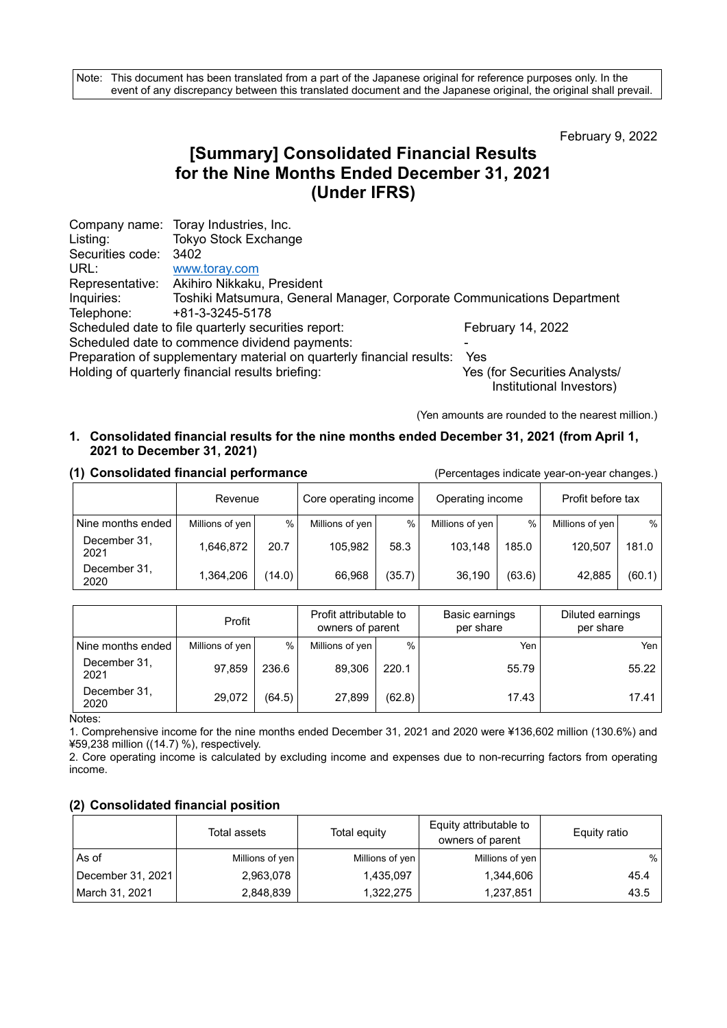Note: This document has been translated from a part of the Japanese original for reference purposes only. In the event of any discrepancy between this translated document and the Japanese original, the original shall prevail.

February 9, 2022

# **[Summary] Consolidated Financial Results for the Nine Months Ended December 31, 2021 (Under IFRS)**

|                  | Company name: Toray Industries, Inc.                                    |                                                           |
|------------------|-------------------------------------------------------------------------|-----------------------------------------------------------|
| Listing:         | <b>Tokyo Stock Exchange</b>                                             |                                                           |
| Securities code: | 3402                                                                    |                                                           |
| URL:             | www.toray.com                                                           |                                                           |
|                  | Representative: Akihiro Nikkaku, President                              |                                                           |
| Inquiries:       | Toshiki Matsumura, General Manager, Corporate Communications Department |                                                           |
| Telephone:       | +81-3-3245-5178                                                         |                                                           |
|                  | Scheduled date to file quarterly securities report:                     | February 14, 2022                                         |
|                  | Scheduled date to commence dividend payments:                           |                                                           |
|                  | Preparation of supplementary material on quarterly financial results:   | Yes                                                       |
|                  | Holding of quarterly financial results briefing:                        | Yes (for Securities Analysts/<br>Institutional Investors) |

(Yen amounts are rounded to the nearest million.)

### **1. Consolidated financial results for the nine months ended December 31, 2021 (from April 1, 2021 to December 31, 2021)**

|                      |                 | Core operating income<br>Operating income<br>Revenue |                 |        |                 | Profit before tax |                 |        |
|----------------------|-----------------|------------------------------------------------------|-----------------|--------|-----------------|-------------------|-----------------|--------|
| Nine months ended    | Millions of yen | %                                                    | Millions of yen | %      | Millions of yen | $\%$              | Millions of yen | %      |
| December 31.<br>2021 | 1,646,872       | 20.7                                                 | 105.982         | 58.3   | 103.148         | 185.0             | 120,507         | 181.0  |
| December 31.<br>2020 | 1,364,206       | (14.0)                                               | 66,968          | (35.7) | 36,190          | (63.6)            | 42.885          | (60.1) |

#### **(1) Consolidated financial performance** (Percentages indicate year-on-year changes.)

|                      | Profit          |        | Profit attributable to<br>owners of parent |        |       |       |  |  | Basic earnings<br>per share | Diluted earnings<br>per share |
|----------------------|-----------------|--------|--------------------------------------------|--------|-------|-------|--|--|-----------------------------|-------------------------------|
| Nine months ended    | Millions of yen | %      | Millions of yen                            | $\%$   | Yen   | Yen   |  |  |                             |                               |
| December 31,<br>2021 | 97,859          | 236.6  | 89,306                                     | 220.1  | 55.79 | 55.22 |  |  |                             |                               |
| December 31.<br>2020 | 29.072          | (64.5) | 27,899                                     | (62.8) | 17.43 | 17.41 |  |  |                             |                               |

Notes:

1. Comprehensive income for the nine months ended December 31, 2021 and 2020 were ¥136,602 million (130.6%) and ¥59,238 million ((14.7) %), respectively.

2. Core operating income is calculated by excluding income and expenses due to non-recurring factors from operating income.

#### **(2) Consolidated financial position**

|                   | Total assets    | Total equity    | Equity attributable to<br>owners of parent | Equity ratio |
|-------------------|-----------------|-----------------|--------------------------------------------|--------------|
| As of             | Millions of yen | Millions of yen | Millions of yen                            | %            |
| December 31, 2021 | 2,963,078       | 1,435,097       | 1,344,606                                  | 45.4         |
| March 31, 2021    | 2,848,839       | 1,322,275       | 1,237,851                                  | 43.5         |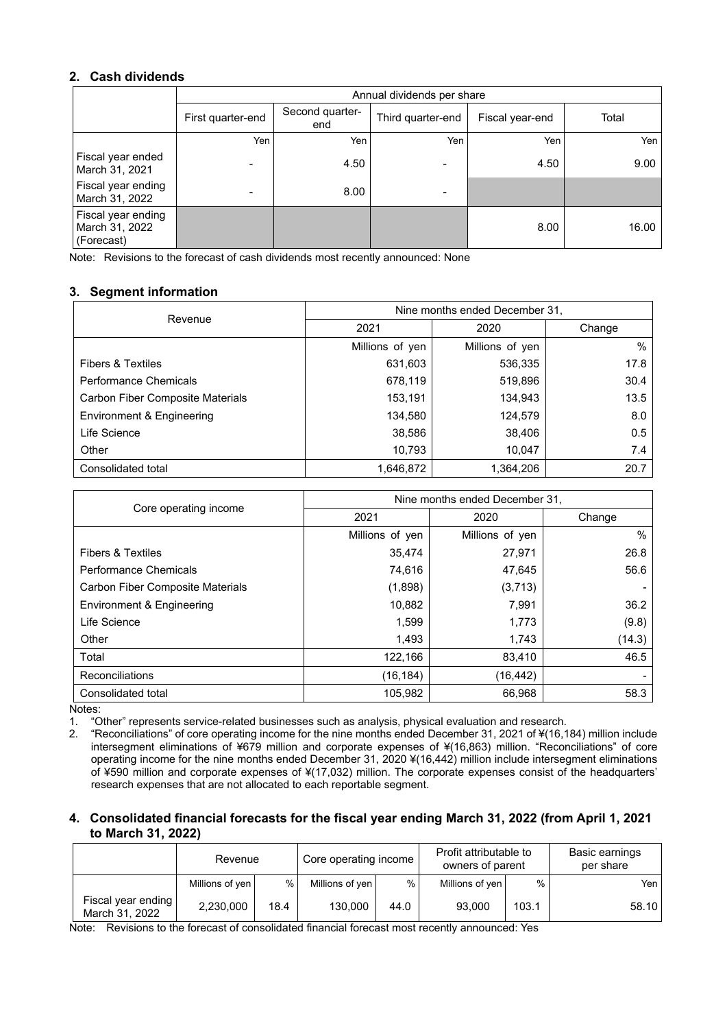### **2. Cash dividends**

|                                                    |                          | Annual dividends per share |                              |                 |       |  |  |  |  |  |
|----------------------------------------------------|--------------------------|----------------------------|------------------------------|-----------------|-------|--|--|--|--|--|
|                                                    | First quarter-end        | Second quarter-<br>end     | Third quarter-end            | Fiscal year-end | Total |  |  |  |  |  |
|                                                    | Yen                      | Yen                        | Yen                          | Yen             | Yen   |  |  |  |  |  |
| Fiscal year ended<br>March 31, 2021                | $\overline{\phantom{0}}$ | 4.50                       | $\qquad \qquad \blacksquare$ | 4.50            | 9.00  |  |  |  |  |  |
| Fiscal year ending<br>March 31, 2022               |                          | 8.00                       | -                            |                 |       |  |  |  |  |  |
| Fiscal year ending<br>March 31, 2022<br>(Forecast) |                          |                            |                              | 8.00            | 16.00 |  |  |  |  |  |

Note: Revisions to the forecast of cash dividends most recently announced: None

# **3. Segment information**

| Revenue                                 | Nine months ended December 31. |                 |        |  |  |  |
|-----------------------------------------|--------------------------------|-----------------|--------|--|--|--|
|                                         | 2021                           | 2020            | Change |  |  |  |
|                                         | Millions of yen                | Millions of yen | %      |  |  |  |
| <b>Fibers &amp; Textiles</b>            | 631,603                        | 536,335         | 17.8   |  |  |  |
| Performance Chemicals                   | 678,119                        | 519,896         | 30.4   |  |  |  |
| <b>Carbon Fiber Composite Materials</b> | 153,191                        | 134,943         | 13.5   |  |  |  |
| Environment & Engineering               | 134,580                        | 124,579         | 8.0    |  |  |  |
| Life Science                            | 38,586                         | 38,406          | 0.5    |  |  |  |
| Other                                   | 10,793                         | 10,047          | 7.4    |  |  |  |
| Consolidated total                      | 1,646,872                      | 1,364,206       | 20.7   |  |  |  |

|                                         | Nine months ended December 31, |                 |        |  |  |
|-----------------------------------------|--------------------------------|-----------------|--------|--|--|
| Core operating income                   | 2021                           | 2020            | Change |  |  |
|                                         | Millions of yen                | Millions of yen | $\%$   |  |  |
| <b>Fibers &amp; Textiles</b>            | 35,474                         | 27,971          | 26.8   |  |  |
| <b>Performance Chemicals</b>            | 74,616                         | 47,645          | 56.6   |  |  |
| <b>Carbon Fiber Composite Materials</b> | (1,898)                        | (3,713)         |        |  |  |
| Environment & Engineering               | 10,882                         | 7,991           | 36.2   |  |  |
| Life Science                            | 1,599                          | 1,773           | (9.8)  |  |  |
| Other                                   | 1,493                          | 1,743           | (14.3) |  |  |
| Total                                   | 122,166                        | 83,410          | 46.5   |  |  |
| <b>Reconciliations</b>                  | (16, 184)                      | (16, 442)       |        |  |  |
| Consolidated total                      | 105,982                        | 66,968          | 58.3   |  |  |

Notes:<br>1. "C 1. "Other" represents service-related businesses such as analysis, physical evaluation and research.

2. "Reconciliations" of core operating income for the nine months ended December 31, 2021 of ¥(16,184) million include intersegment eliminations of ¥679 million and corporate expenses of ¥(16,863) million. "Reconciliations" of core operating income for the nine months ended December 31, 2020 ¥(16,442) million include intersegment eliminations of ¥590 million and corporate expenses of ¥(17,032) million. The corporate expenses consist of the headquarters' research expenses that are not allocated to each reportable segment.

#### **4. Consolidated financial forecasts for the fiscal year ending March 31, 2022 (from April 1, 2021 to March 31, 2022)**

|                                      | Revenue         |      | Core operating income |      | Profit attributable to<br>owners of parent |       | Basic earnings<br>per share |
|--------------------------------------|-----------------|------|-----------------------|------|--------------------------------------------|-------|-----------------------------|
|                                      | Millions of yen | %    | Millions of yen       | %    | Millions of yen                            | $\%$  | Yen                         |
| Fiscal year ending<br>March 31, 2022 | 2,230,000       | 18.4 | 130,000               | 44.0 | 93.000                                     | 103.1 | 58.10                       |

Note: Revisions to the forecast of consolidated financial forecast most recently announced: Yes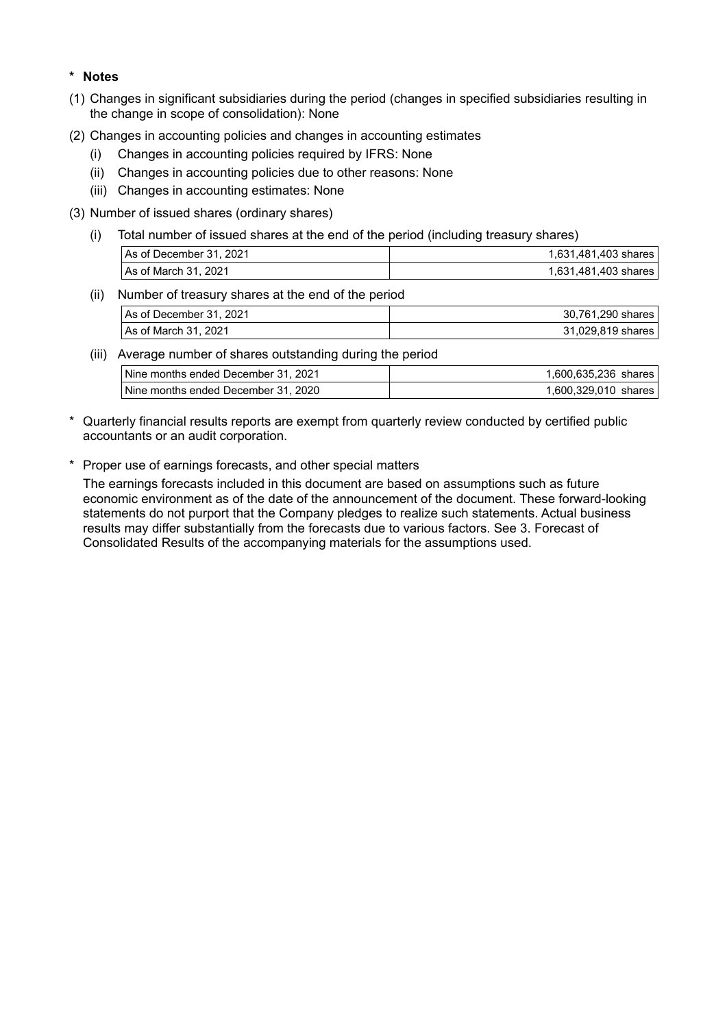### **\* Notes**

- (1) Changes in significant subsidiaries during the period (changes in specified subsidiaries resulting in the change in scope of consolidation): None
- (2) Changes in accounting policies and changes in accounting estimates
	- (i) Changes in accounting policies required by IFRS: None
	- (ii) Changes in accounting policies due to other reasons: None
	- (iii) Changes in accounting estimates: None
- (3) Number of issued shares (ordinary shares)
	- (i) Total number of issued shares at the end of the period (including treasury shares)

| As of December 31, 2021 | 1.631.481.403 shares |
|-------------------------|----------------------|
| l As of March 31. 2021  | 1,631,481,403 shares |

(ii) Number of treasury shares at the end of the period

| As of December 31, 2021 | 30,761,290 shares |
|-------------------------|-------------------|
| As of March 31, 2021    | 31,029,819 shares |

(iii) Average number of shares outstanding during the period

| Nine months ended December 31, 2021 | 1.600.635.236 shares |  |
|-------------------------------------|----------------------|--|
| Nine months ended December 31, 2020 | 1.600.329.010 shares |  |

- \* Quarterly financial results reports are exempt from quarterly review conducted by certified public accountants or an audit corporation.
- \* Proper use of earnings forecasts, and other special matters

The earnings forecasts included in this document are based on assumptions such as future economic environment as of the date of the announcement of the document. These forward-looking statements do not purport that the Company pledges to realize such statements. Actual business results may differ substantially from the forecasts due to various factors. See 3. Forecast of Consolidated Results of the accompanying materials for the assumptions used.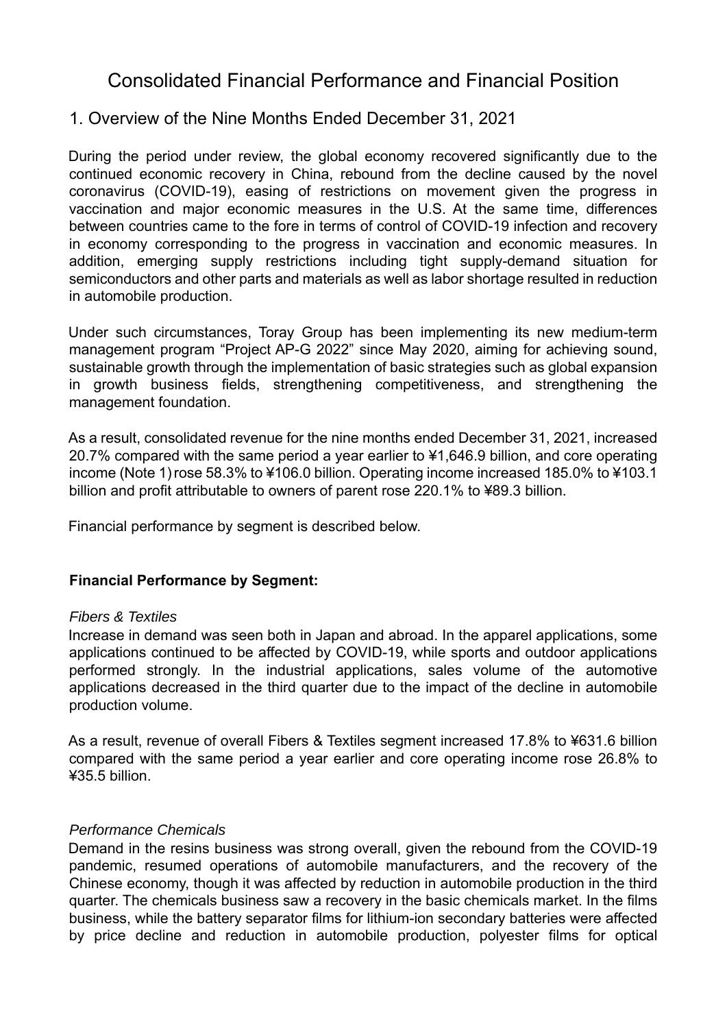# Consolidated Financial Performance and Financial Position

# 1. Overview of the Nine Months Ended December 31, 2021

During the period under review, the global economy recovered significantly due to the continued economic recovery in China, rebound from the decline caused by the novel coronavirus (COVID-19), easing of restrictions on movement given the progress in vaccination and major economic measures in the U.S. At the same time, differences between countries came to the fore in terms of control of COVID-19 infection and recovery in economy corresponding to the progress in vaccination and economic measures. In addition, emerging supply restrictions including tight supply-demand situation for semiconductors and other parts and materials as well as labor shortage resulted in reduction in automobile production.

Under such circumstances, Toray Group has been implementing its new medium-term management program "Project AP-G 2022" since May 2020, aiming for achieving sound, sustainable growth through the implementation of basic strategies such as global expansion in growth business fields, strengthening competitiveness, and strengthening the management foundation.

As a result, consolidated revenue for the nine months ended December 31, 2021, increased 20.7% compared with the same period a year earlier to ¥1,646.9 billion, and core operating income (Note 1)rose 58.3% to ¥106.0 billion. Operating income increased 185.0% to ¥103.1 billion and profit attributable to owners of parent rose 220.1% to ¥89.3 billion.

Financial performance by segment is described below.

# **Financial Performance by Segment:**

### *Fibers & Textiles*

Increase in demand was seen both in Japan and abroad. In the apparel applications, some applications continued to be affected by COVID-19, while sports and outdoor applications performed strongly. In the industrial applications, sales volume of the automotive applications decreased in the third quarter due to the impact of the decline in automobile production volume.

As a result, revenue of overall Fibers & Textiles segment increased 17.8% to ¥631.6 billion compared with the same period a year earlier and core operating income rose 26.8% to ¥35.5 billion.

### *Performance Chemicals*

Demand in the resins business was strong overall, given the rebound from the COVID-19 pandemic, resumed operations of automobile manufacturers, and the recovery of the Chinese economy, though it was affected by reduction in automobile production in the third quarter. The chemicals business saw a recovery in the basic chemicals market. In the films business, while the battery separator films for lithium-ion secondary batteries were affected by price decline and reduction in automobile production, polyester films for optical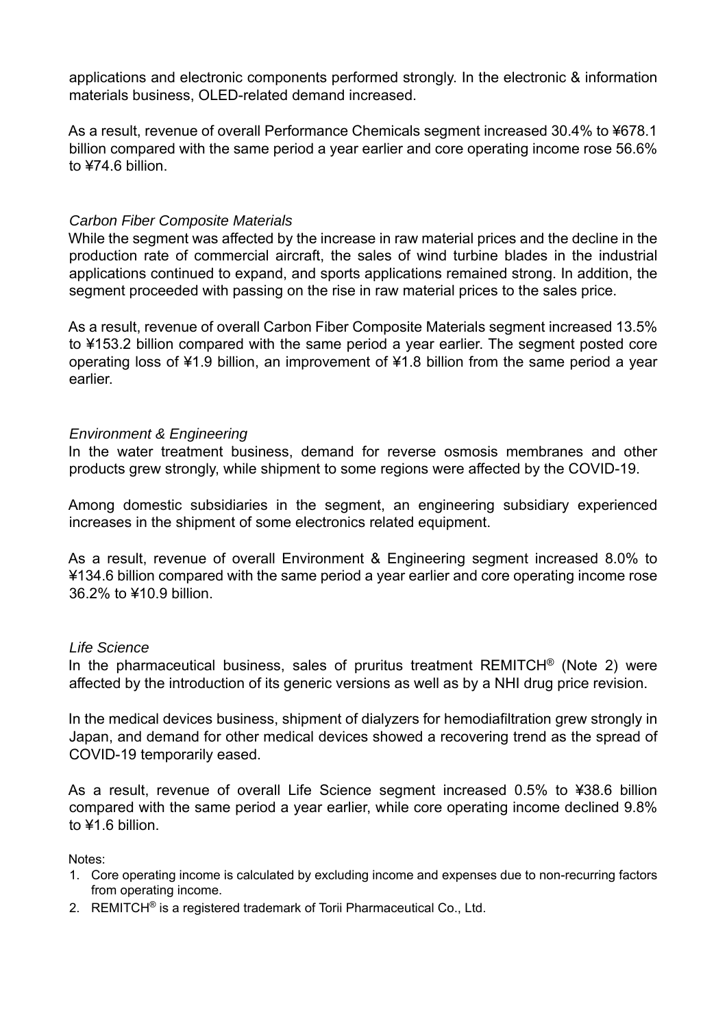applications and electronic components performed strongly. In the electronic & information materials business, OLED-related demand increased.

As a result, revenue of overall Performance Chemicals segment increased 30.4% to ¥678.1 billion compared with the same period a year earlier and core operating income rose 56.6% to ¥74.6 billion.

# *Carbon Fiber Composite Materials*

While the segment was affected by the increase in raw material prices and the decline in the production rate of commercial aircraft, the sales of wind turbine blades in the industrial applications continued to expand, and sports applications remained strong. In addition, the segment proceeded with passing on the rise in raw material prices to the sales price.

As a result, revenue of overall Carbon Fiber Composite Materials segment increased 13.5% to ¥153.2 billion compared with the same period a year earlier. The segment posted core operating loss of ¥1.9 billion, an improvement of ¥1.8 billion from the same period a year earlier.

# *Environment & Engineering*

In the water treatment business, demand for reverse osmosis membranes and other products grew strongly, while shipment to some regions were affected by the COVID-19.

Among domestic subsidiaries in the segment, an engineering subsidiary experienced increases in the shipment of some electronics related equipment.

As a result, revenue of overall Environment & Engineering segment increased 8.0% to ¥134.6 billion compared with the same period a year earlier and core operating income rose 36.2% to ¥10.9 billion.

### *Life Science*

In the pharmaceutical business, sales of pruritus treatment REMITCH<sup>®</sup> (Note 2) were affected by the introduction of its generic versions as well as by a NHI drug price revision.

In the medical devices business, shipment of dialyzers for hemodiafiltration grew strongly in Japan, and demand for other medical devices showed a recovering trend as the spread of COVID-19 temporarily eased.

As a result, revenue of overall Life Science segment increased 0.5% to ¥38.6 billion compared with the same period a year earlier, while core operating income declined 9.8% to ¥1.6 billion

Notes:

- 1. Core operating income is calculated by excluding income and expenses due to non-recurring factors from operating income.
- 2. REMITCH® is a registered trademark of Torii Pharmaceutical Co., Ltd.